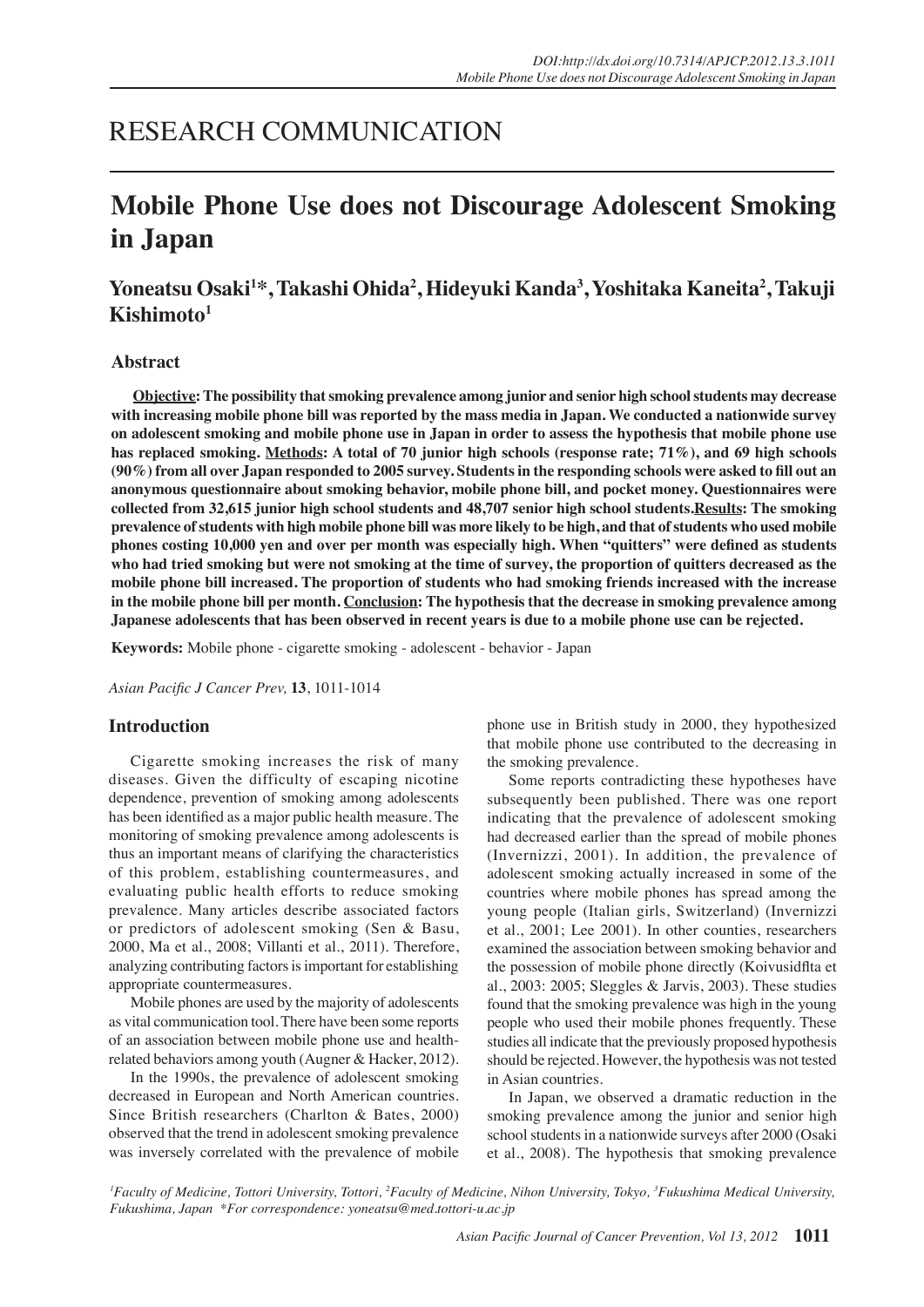# RESEARCH COMMUNICATION

# **Mobile Phone Use does not Discourage Adolescent Smoking in Japan**

# **Yoneatsu Osaki1 \*, Takashi Ohida2 , Hideyuki Kanda3 , Yoshitaka Kaneita2 , Takuji Kishimoto1**

### **Abstract**

**Objective: The possibility that smoking prevalence among junior and senior high school students may decrease with increasing mobile phone bill was reported by the mass media in Japan. We conducted a nationwide survey on adolescent smoking and mobile phone use in Japan in order to assess the hypothesis that mobile phone use has replaced smoking. Methods: A total of 70 junior high schools (response rate; 71%), and 69 high schools (90%) from all over Japan responded to 2005 survey. Students in the responding schools were asked to fill out an anonymous questionnaire about smoking behavior, mobile phone bill, and pocket money. Questionnaires were collected from 32,615 junior high school students and 48,707 senior high school students.Results: The smoking prevalence of students with high mobile phone bill was more likely to be high, and that of students who used mobile phones costing 10,000 yen and over per month was especially high. When "quitters" were defined as students who had tried smoking but were not smoking at the time of survey, the proportion of quitters decreased as the mobile phone bill increased. The proportion of students who had smoking friends increased with the increase in the mobile phone bill per month. Conclusion: The hypothesis that the decrease in smoking prevalence among Japanese adolescents that has been observed in recent years is due to a mobile phone use can be rejected.**

**Keywords:** Mobile phone - cigarette smoking - adolescent - behavior - Japan

*Asian Pacific J Cancer Prev,* **13**, 1011-1014

### **Introduction**

Cigarette smoking increases the risk of many diseases. Given the difficulty of escaping nicotine dependence, prevention of smoking among adolescents has been identified as a major public health measure. The monitoring of smoking prevalence among adolescents is thus an important means of clarifying the characteristics of this problem, establishing countermeasures, and evaluating public health efforts to reduce smoking prevalence. Many articles describe associated factors or predictors of adolescent smoking (Sen & Basu, 2000, Ma et al., 2008; Villanti et al., 2011). Therefore, analyzing contributing factors is important for establishing appropriate countermeasures.

Mobile phones are used by the majority of adolescents as vital communication tool. There have been some reports of an association between mobile phone use and healthrelated behaviors among youth (Augner & Hacker, 2012).

In the 1990s, the prevalence of adolescent smoking decreased in European and North American countries. Since British researchers (Charlton & Bates, 2000) observed that the trend in adolescent smoking prevalence was inversely correlated with the prevalence of mobile

phone use in British study in 2000, they hypothesized that mobile phone use contributed to the decreasing in the smoking prevalence.

Some reports contradicting these hypotheses have subsequently been published. There was one report indicating that the prevalence of adolescent smoking had decreased earlier than the spread of mobile phones (Invernizzi, 2001). In addition, the prevalence of adolescent smoking actually increased in some of the countries where mobile phones has spread among the young people (Italian girls, Switzerland) (Invernizzi et al., 2001; Lee 2001). In other counties, researchers examined the association between smoking behavior and the possession of mobile phone directly (Koivusidflta et al., 2003: 2005; Sleggles & Jarvis, 2003). These studies found that the smoking prevalence was high in the young people who used their mobile phones frequently. These studies all indicate that the previously proposed hypothesis should be rejected. However, the hypothesis was not tested in Asian countries.

In Japan, we observed a dramatic reduction in the smoking prevalence among the junior and senior high school students in a nationwide surveys after 2000 (Osaki et al., 2008). The hypothesis that smoking prevalence

<sup>1</sup> Faculty of Medicine, Tottori University, Tottori, <sup>2</sup> Faculty of Medicine, Nihon University, Tokyo, <sup>3</sup> Fukushima Medical University, *Fukushima, Japan \*For correspondence: yoneatsu@med.tottori-u.ac.jp*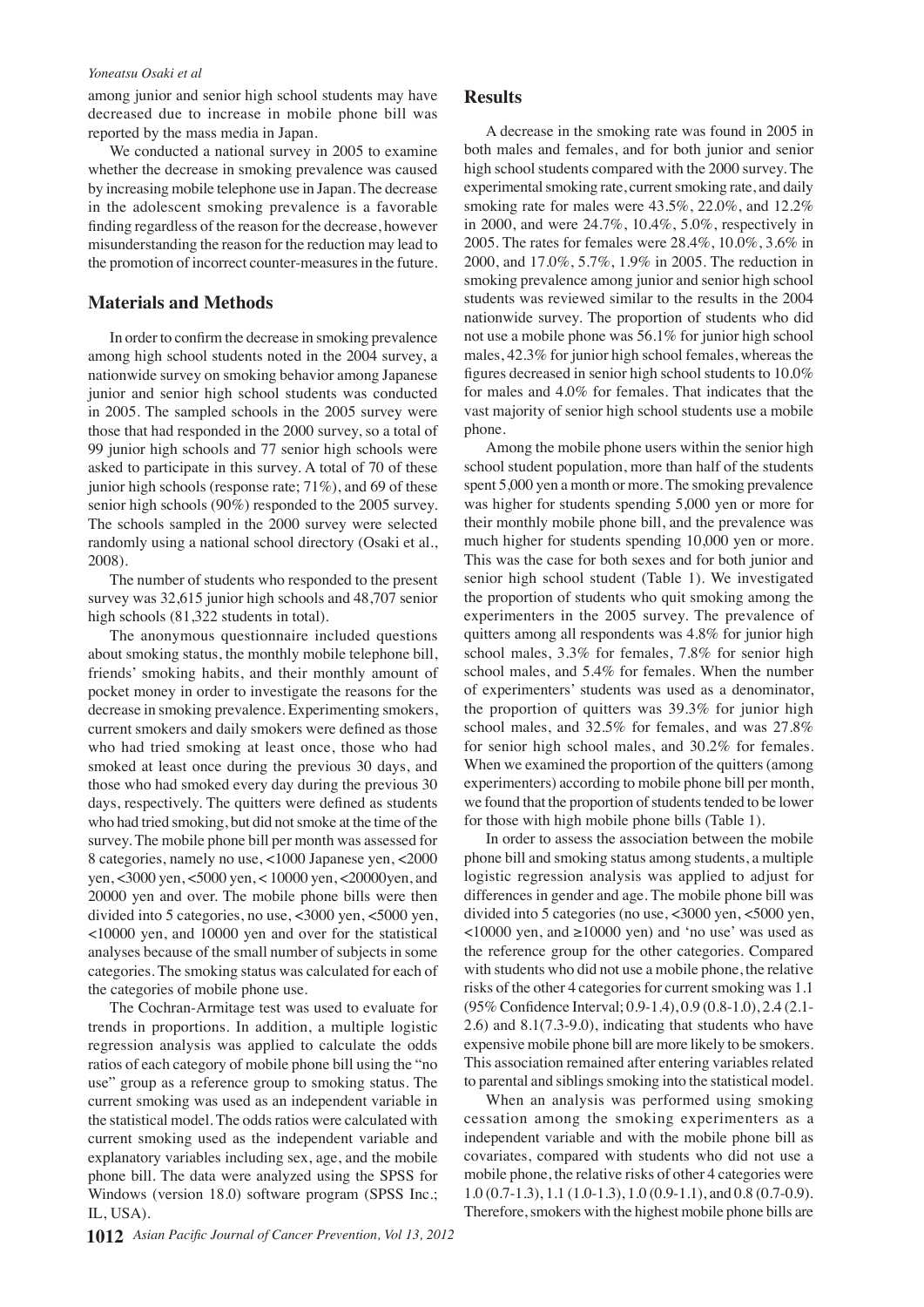#### *Yoneatsu Osaki et al*

among junior and senior high school students may have decreased due to increase in mobile phone bill was reported by the mass media in Japan.

We conducted a national survey in 2005 to examine whether the decrease in smoking prevalence was caused by increasing mobile telephone use in Japan. The decrease in the adolescent smoking prevalence is a favorable finding regardless of the reason for the decrease, however misunderstanding the reason for the reduction may lead to the promotion of incorrect counter-measures in the future.

## **Materials and Methods**

In order to confirm the decrease in smoking prevalence among high school students noted in the 2004 survey, a nationwide survey on smoking behavior among Japanese junior and senior high school students was conducted in 2005. The sampled schools in the 2005 survey were those that had responded in the 2000 survey, so a total of 99 junior high schools and 77 senior high schools were asked to participate in this survey. A total of 70 of these junior high schools (response rate; 71%), and 69 of these senior high schools (90%) responded to the 2005 survey. The schools sampled in the 2000 survey were selected randomly using a national school directory (Osaki et al., 2008).

The number of students who responded to the present survey was 32,615 junior high schools and 48,707 senior high schools  $(81,322$  students in total).

The anonymous questionnaire included questions about smoking status, the monthly mobile telephone bill, friends' smoking habits, and their monthly amount of pocket money in order to investigate the reasons for the decrease in smoking prevalence. Experimenting smokers, current smokers and daily smokers were defined as those who had tried smoking at least once, those who had smoked at least once during the previous 30 days, and those who had smoked every day during the previous 30 days, respectively. The quitters were defined as students who had tried smoking, but did not smoke at the time of the survey. The mobile phone bill per month was assessed for 8 categories, namely no use, <1000 Japanese yen, <2000 yen, <3000 yen, <5000 yen, < 10000 yen, <20000yen, and 20000 yen and over. The mobile phone bills were then divided into 5 categories, no use, <3000 yen, <5000 yen, <10000 yen, and 10000 yen and over for the statistical analyses because of the small number of subjects in some categories. The smoking status was calculated for each of the categories of mobile phone use.

The Cochran-Armitage test was used to evaluate for trends in proportions. In addition, a multiple logistic regression analysis was applied to calculate the odds ratios of each category of mobile phone bill using the "no use" group as a reference group to smoking status. The current smoking was used as an independent variable in the statistical model. The odds ratios were calculated with current smoking used as the independent variable and explanatory variables including sex, age, and the mobile phone bill. The data were analyzed using the SPSS for Windows (version 18.0) software program (SPSS Inc.; IL, USA).

#### **Results**

A decrease in the smoking rate was found in 2005 in both males and females, and for both junior and senior high school students compared with the 2000 survey. The experimental smoking rate, current smoking rate, and daily smoking rate for males were 43.5%, 22.0%, and 12.2% in 2000, and were 24.7%, 10.4%, 5.0%, respectively in 2005. The rates for females were 28.4%, 10.0%, 3.6% in 2000, and 17.0%, 5.7%, 1.9% in 2005. The reduction in smoking prevalence among junior and senior high school students was reviewed similar to the results in the 2004 nationwide survey. The proportion of students who did not use a mobile phone was 56.1% for junior high school males, 42.3% for junior high school females, whereas the figures decreased in senior high school students to 10.0% for males and 4.0% for females. That indicates that the vast majority of senior high school students use a mobile phone.

Among the mobile phone users within the senior high school student population, more than half of the students spent 5,000 yen a month or more. The smoking prevalence was higher for students spending 5,000 yen or more for their monthly mobile phone bill, and the prevalence was much higher for students spending 10,000 yen or more. This was the case for both sexes and for both junior and senior high school student (Table 1). We investigated the proportion of students who quit smoking among the experimenters in the 2005 survey. The prevalence of quitters among all respondents was 4.8% for junior high school males, 3.3% for females, 7.8% for senior high school males, and 5.4% for females. When the number of experimenters' students was used as a denominator, the proportion of quitters was 39.3% for junior high school males, and 32.5% for females, and was 27.8% for senior high school males, and 30.2% for females. When we examined the proportion of the quitters (among experimenters) according to mobile phone bill per month, we found that the proportion of students tended to be lower for those with high mobile phone bills (Table 1).

In order to assess the association between the mobile phone bill and smoking status among students, a multiple logistic regression analysis was applied to adjust for differences in gender and age. The mobile phone bill was divided into 5 categories (no use, <3000 yen, <5000 yen,  $\langle$ 10000 yen, and  $\geq$ 10000 yen) and 'no use' was used as the reference group for the other categories. Compared with students who did not use a mobile phone, the relative risks of the other 4 categories for current smoking was 1.1 (95% Confidence Interval; 0.9-1.4), 0.9 (0.8-1.0), 2.4 (2.1- 2.6) and 8.1(7.3-9.0), indicating that students who have expensive mobile phone bill are more likely to be smokers. This association remained after entering variables related to parental and siblings smoking into the statistical model.

When an analysis was performed using smoking cessation among the smoking experimenters as a independent variable and with the mobile phone bill as covariates, compared with students who did not use a mobile phone, the relative risks of other 4 categories were 1.0 (0.7-1.3), 1.1 (1.0-1.3), 1.0 (0.9-1.1), and 0.8 (0.7-0.9). Therefore, smokers with the highest mobile phone bills are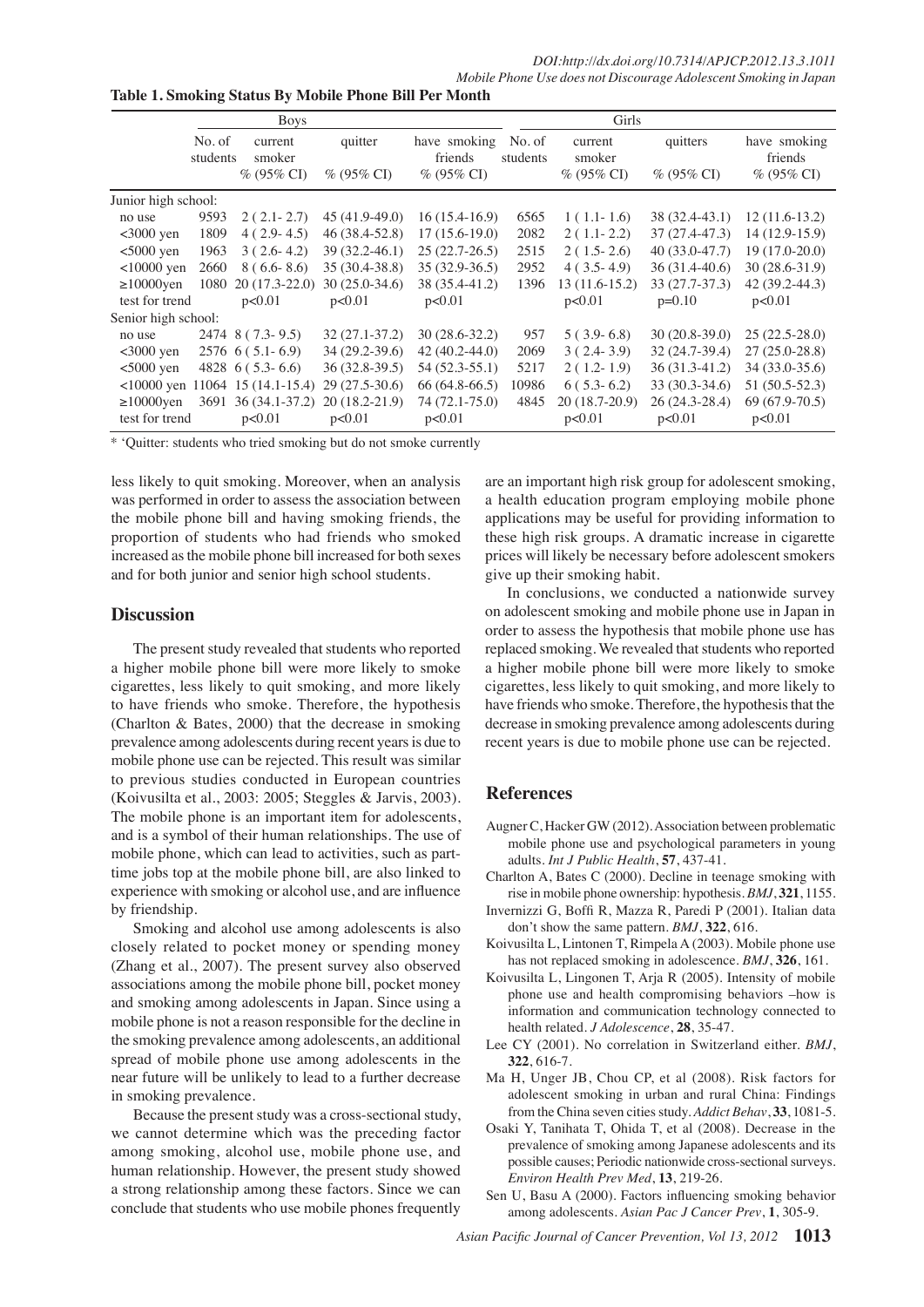*Mobile Phone Use does not Discourage Adolescent Smoking in Japan*

**Table 1. Smoking Status By Mobile Phone Bill Per Month**

|                     | <b>Boys</b>        |                        |                   | Girls                    |                    |                               |                               |                                                                                                       |
|---------------------|--------------------|------------------------|-------------------|--------------------------|--------------------|-------------------------------|-------------------------------|-------------------------------------------------------------------------------------------------------|
|                     | No. of<br>students | current<br>smoker      | quitter           | have smoking<br>friends  | No. of<br>students | current<br>smoker             | quitters                      | have smoking<br>friends                                                                               |
|                     |                    | $% (95\% CI)$          | $\%$ (95\% CI)    | $% (95\% CI)$            |                    | $\%$ (95\% CI)                | $\%$ (95\% CI)                | $% (95\% CI)$                                                                                         |
| Junior high school: |                    |                        |                   |                          |                    |                               |                               |                                                                                                       |
| no use              | 9593               | $2(2.1-2.7)$           | 45 (41.9-49.0)    | $16(15.4-16.9)$          | 6565               | $1(1.1-1.6)$                  | 38 (32.4-43.1)                | 12 (11.6-13.2)                                                                                        |
| $<3000$ yen         | 1809               | $4(2.9-4.5)$           | 46 (38.4-52.8)    | $17(15.6-19.0)$          | 2082               | $2(1.1-2.2)$                  | 37 (27.4-47.3)                | 14 (12.9-15.9)                                                                                        |
| $<$ 5000 yen        | 1963               | $3(2.6-4.2)$           | 39 (32.2-46.1)    | $25(22.7-26.5)$          | 2515               | $2(1.5-2.6)$                  | 40 (33.0-47.7)                | 19 (17.0-20.0)                                                                                        |
| $<$ 10000 yen       | 2660               | $8(6.6-8.6)$           | 35 (30.4-38.8)    | $35(32.9-36.5)$          | 2952               | $4(3.5-4.9)$                  | 36 (31.4-40.6)                | 30 (28.6-31.9)                                                                                        |
| $\geq$ 10000yen     | 1080               | $20(17.3-22.0)$        | $30(25.0-34.6)$   | 38 $(3510010)$           | 1396               | $13(11.6-15.2)$               | 3 <del>3 (27.7.</del> 37.3)   | 42 (39.2-44.3)                                                                                        |
| test for trend      |                    | p<0.01                 | p<0.01            | p<0.01                   |                    | 6.3 $p < 0.01$ 10.1           | $p=0.10$                      | p<0.01                                                                                                |
| Senior high school: |                    |                        |                   |                          |                    |                               |                               |                                                                                                       |
| no use              |                    | 2474 8 (7.3-9.5)       | $32(27.1-37.2)$   | $30(28.6 - 32.2)$        | 957                | $3.9 - 6.8$<br>5(             |                               |                                                                                                       |
| $<3000$ yen         |                    | $2576$ 6 (5.1-6.9)     | $34(29.2-39.6)$   | $42(40.2 - 44.0)$        | 2069               | 3(<br>$2 4-3.9 $              | 32 (24.7 39.4)                | $\frac{30}{22}$ (20.8 39.0) $\frac{25}{27}$ (22.5-28.0)<br>32 (24.7 39.4) $\frac{25}{27}$ (25.0-28.8) |
| $<$ 5000 yen        |                    | 4828 $6(5.3-6.6)$      | 36 (32.8-39.5)    | $54(52.3-55.1)$          | 5217               | $\overline{2}$<br>$1,2$ -1.9) | $36(31.3-41.2)$               | $34(33.0-35.6)$                                                                                       |
| $< 10000$ yen       |                    | $11064$ 15 (14.1-15.4) | $29(27.5-30.6)$   | $66(64.8-66.5)$          | 109856.36          | 5.346.8                       | $33(30.3-34.6)$               | $51(50.5-52.3)$                                                                                       |
| $\geq$ 10000yen     | 3691               | $36(34.1-37.2)$        | $20(18.2 - 21.9)$ |                          | 4845               | $(18.7 - 20.9)$<br>20         | $26,242$ <sup>3</sup> $-28.4$ | $69(67.9-70.5)$                                                                                       |
| test for trend      |                    | p<0.01                 | p<0.01            | $74(72.15750)$<br>p<0.01 |                    | p<0.01                        | p<0.01                        | $31.3 \times 0.01$                                                                                    |

\* 'Quitter: students who tried smoking but do not smoke currently

was performed in order to assess the association between the mobile phone bill and having smoking friends, the proportion of students who had friends who smoked increased as the mobile phone bill increased for both sexes and for both junior and senior high school students.

#### **Discussion**

The present study revealed that students who reported a higher mobile phone bill were more likely to smoke cigarettes, less likely to quit smoking, and more likely to have friends who smoke. Therefore, the hypothesis (Charlton & Bates, 2000) that the decrease in smoking prevalence among adolescents during recent years is due to mobile phone use can be rejected. This result was similar to previous studies conducted in European countries (Koivusilta et al., 2003: 2005; Steggles & Jarvis, 2003). The mobile phone is an important item for adolescents, and is a symbol of their human relationships. The use of mobile phone, which can lead to activities, such as parttime jobs top at the mobile phone bill, are also linked to experience with smoking or alcohol use, and are influence by friendship.

Smoking and alcohol use among adolescents is also closely related to pocket money or spending money (Zhang et al., 2007). The present survey also observed associations among the mobile phone bill, pocket money and smoking among adolescents in Japan. Since using a mobile phone is not a reason responsible for the decline in the smoking prevalence among adolescents, an additional spread of mobile phone use among adolescents in the near future will be unlikely to lead to a further decrease in smoking prevalence.

Because the present study was a cross-sectional study, we cannot determine which was the preceding factor among smoking, alcohol use, mobile phone use, and human relationship. However, the present study showed a strong relationship among these factors. Since we can conclude that students who use mobile phones frequently

Ohese high risk groups. A dramatic increase in cigarette 25.0 **Remission** a health<sup>31</sup> the ation program <sub>25</sub> pployin<sup>31</sup> mobile phone 30.0 less likely to quit smoking. Moreover, when an analysis <sup>23</sup> are an important high risk group for adolescent smoking,<br>was performed in order to assess the association between a health<sup>34,6</sup>dation program-enanlovin<sup>31</sup> 3 ob applications may be useful for providing information to prices will likely be necessary before adolescent smokers give up their smoking habit.

Newly diagnosed without treatment Newly diagnosed with treatment Persistence or recurrence In conclusions, we conducted a nationwide survey on adolescent smoking and mobile phone use in Japan in order to a sess the hypothesis that mobile phone use has replaced smoking. We revealed that students who reported a higher mobile phone bill wave more likely to smoke cigarettes aless likely to quit smoking, and more likely to have frien $\frac{a}{b}$  who smake. Therefore, the hypothesis that the decrease in smoking prevalence among adolescents during recent years is due to mobile phone use can be rejected.

### **References**

- Augner C, Hacker GW (2012). Association between problematic mobile phone use and psychological parameters in young adults. *Int J Public Health*, **57**, 437-41.
- Charlton A, Bates C (2000). Decline in teenage smoking with rise in mobile phone ownership: hypothesis. *BMJ*, **321**, 1155.
- Invernizzi G, Boffi R, Mazza R, Paredi P (2001). Italian data don't show the same pattern. *BMJ*, **322**, 616.
- Koivusilta L, Lintonen T, Rimpela A (2003). Mobile phone use has not replaced smoking in adolescence. *BMJ*, **326**, 161.
- Koivusilta L, Lingonen T, Arja R (2005). Intensity of mobile phone use and health compromising behaviors –how is information and communication technology connected to health related. *J Adolescence*, **28**, 35-47.
- Lee CY (2001). No correlation in Switzerland either. *BMJ*, **322**, 616-7.
- Ma H, Unger JB, Chou CP, et al (2008). Risk factors for adolescent smoking in urban and rural China: Findings from the China seven cities study. *Addict Behav*, **33**, 1081-5.
- Osaki Y, Tanihata T, Ohida T, et al (2008). Decrease in the prevalence of smoking among Japanese adolescents and its possible causes; Periodic nationwide cross-sectional surveys. *Environ Health Prev Med*, **13**, 219-26.
- Sen U, Basu A (2000). Factors influencing smoking behavior among adolescents. *Asian Pac J Cancer Prev*, **1**, 305-9.

**25.0 30.0**

**30.0 31.3**

**12.8**

**51.1**